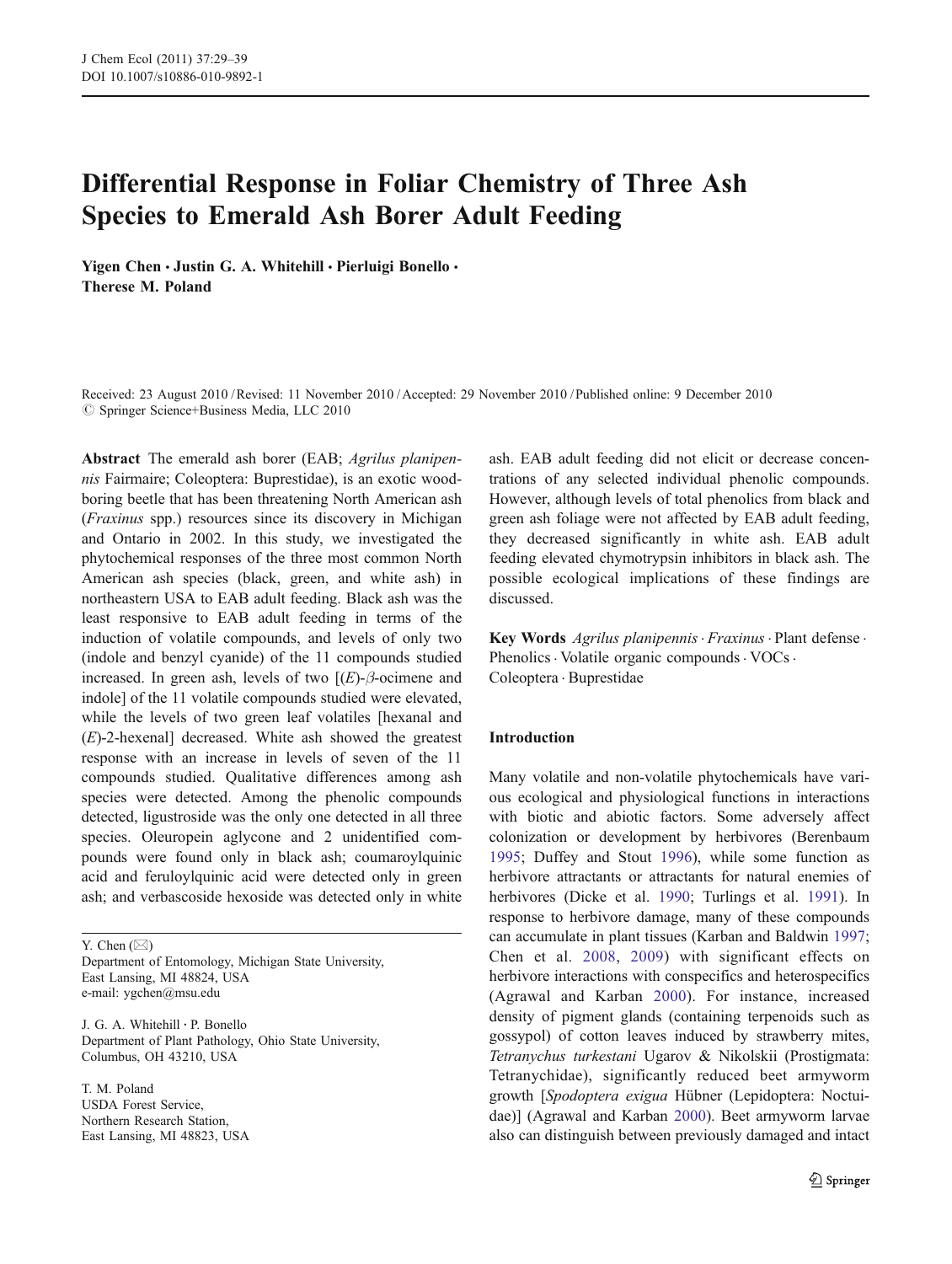# Differential Response in Foliar Chemistry of Three Ash Species to Emerald Ash Borer Adult Feeding

Yigen Chen · Justin G. A. Whitehill · Pierluigi Bonello · Therese M. Poland

Received: 23 August 2010 /Revised: 11 November 2010 / Accepted: 29 November 2010 / Published online: 9 December 2010  $©$  Springer Science+Business Media, LLC 2010

Abstract The emerald ash borer (EAB; Agrilus planipennis Fairmaire; Coleoptera: Buprestidae), is an exotic woodboring beetle that has been threatening North American ash (Fraxinus spp.) resources since its discovery in Michigan and Ontario in 2002. In this study, we investigated the phytochemical responses of the three most common North American ash species (black, green, and white ash) in northeastern USA to EAB adult feeding. Black ash was the least responsive to EAB adult feeding in terms of the induction of volatile compounds, and levels of only two (indole and benzyl cyanide) of the 11 compounds studied increased. In green ash, levels of two  $[(E)-\beta$ -ocimene and indole] of the 11 volatile compounds studied were elevated, while the levels of two green leaf volatiles [hexanal and  $(E)$ -2-hexenal] decreased. White ash showed the greatest response with an increase in levels of seven of the 11 compounds studied. Qualitative differences among ash species were detected. Among the phenolic compounds detected, ligustroside was the only one detected in all three species. Oleuropein aglycone and 2 unidentified compounds were found only in black ash; coumaroylquinic acid and feruloylquinic acid were detected only in green ash; and verbascoside hexoside was detected only in white

Y. Chen  $(\boxtimes)$ 

Department of Entomology, Michigan State University, East Lansing, MI 48824, USA e-mail: ygchen@msu.edu

J. G. A. Whitehill : P. Bonello Department of Plant Pathology, Ohio State University, Columbus, OH 43210, USA

T. M. Poland USDA Forest Service, Northern Research Station, East Lansing, MI 48823, USA ash. EAB adult feeding did not elicit or decrease concentrations of any selected individual phenolic compounds. However, although levels of total phenolics from black and green ash foliage were not affected by EAB adult feeding, they decreased significantly in white ash. EAB adult feeding elevated chymotrypsin inhibitors in black ash. The possible ecological implications of these findings are discussed.

Key Words Agrilus planipennis · Fraxinus · Plant defense · Phenolics · Volatile organic compounds · VOCs · Coleoptera . Buprestidae

## Introduction

Many volatile and non-volatile phytochemicals have various ecological and physiological functions in interactions with biotic and abiotic factors. Some adversely affect colonization or development by herbivores (Berenbaum [1995](#page-9-0); Duffey and Stout [1996](#page-9-0)), while some function as herbivore attractants or attractants for natural enemies of herbivores (Dicke et al. [1990;](#page-9-0) Turlings et al. [1991](#page-10-0)). In response to herbivore damage, many of these compounds can accumulate in plant tissues (Karban and Baldwin [1997;](#page-9-0) Chen et al. [2008,](#page-9-0) [2009\)](#page-9-0) with significant effects on herbivore interactions with conspecifics and heterospecifics (Agrawal and Karban [2000\)](#page-9-0). For instance, increased density of pigment glands (containing terpenoids such as gossypol) of cotton leaves induced by strawberry mites, Tetranychus turkestani Ugarov & Nikolskii (Prostigmata: Tetranychidae), significantly reduced beet armyworm growth [Spodoptera exigua Hübner (Lepidoptera: Noctuidae)] (Agrawal and Karban [2000\)](#page-9-0). Beet armyworm larvae also can distinguish between previously damaged and intact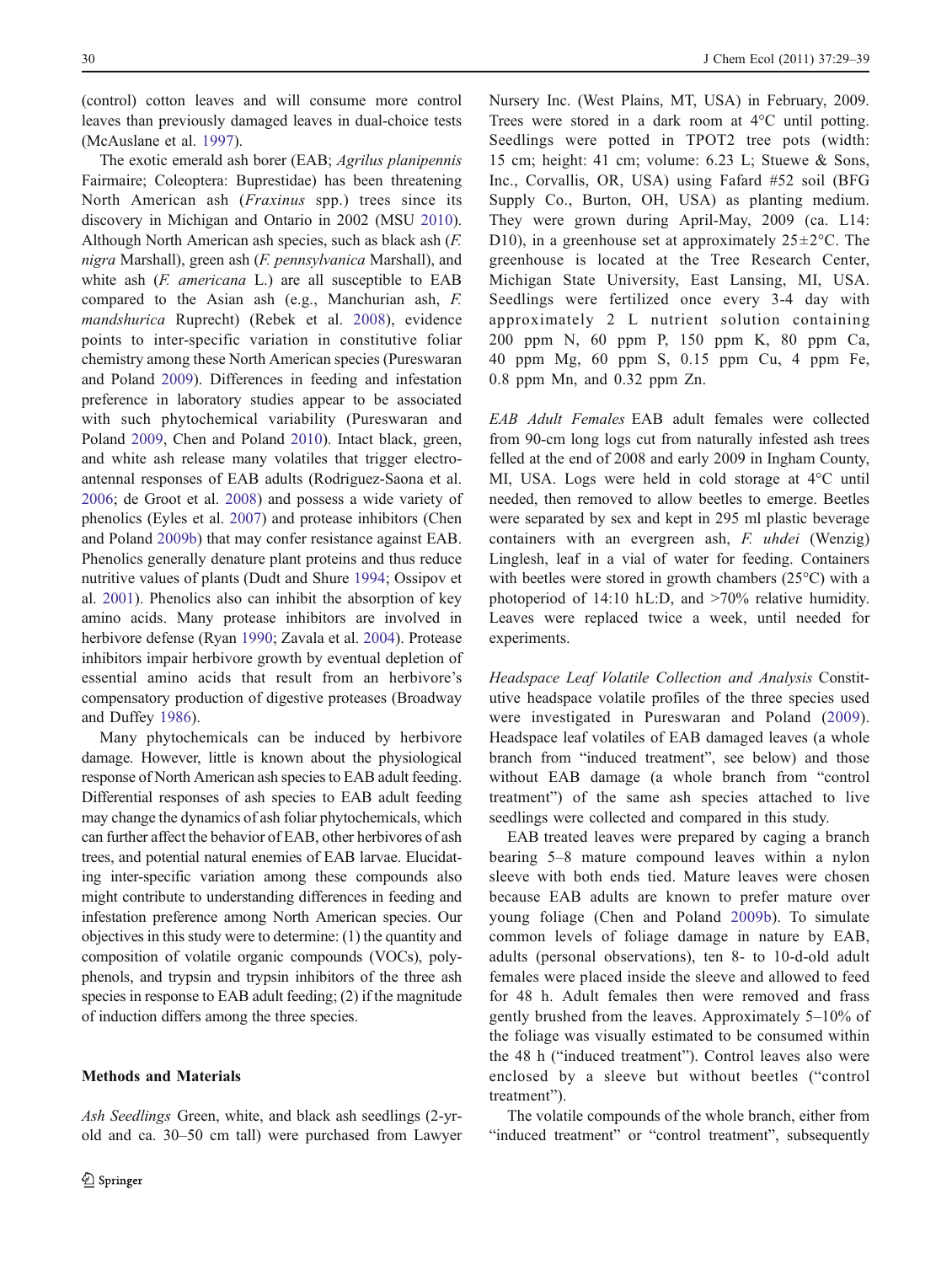(control) cotton leaves and will consume more control leaves than previously damaged leaves in dual-choice tests (McAuslane et al. [1997](#page-9-0)).

The exotic emerald ash borer (EAB; Agrilus planipennis Fairmaire; Coleoptera: Buprestidae) has been threatening North American ash (Fraxinus spp.) trees since its discovery in Michigan and Ontario in 2002 (MSU [2010](#page-10-0)). Although North American ash species, such as black ash (F. nigra Marshall), green ash (F. pennsylvanica Marshall), and white ash (F. americana L.) are all susceptible to EAB compared to the Asian ash (e.g., Manchurian ash, F. mandshurica Ruprecht) (Rebek et al. [2008](#page-10-0)), evidence points to inter-specific variation in constitutive foliar chemistry among these North American species (Pureswaran and Poland [2009](#page-10-0)). Differences in feeding and infestation preference in laboratory studies appear to be associated with such phytochemical variability (Pureswaran and Poland [2009](#page-10-0), Chen and Poland [2010\)](#page-9-0). Intact black, green, and white ash release many volatiles that trigger electroantennal responses of EAB adults (Rodriguez-Saona et al. [2006;](#page-10-0) de Groot et al. [2008\)](#page-9-0) and possess a wide variety of phenolics (Eyles et al. [2007\)](#page-9-0) and protease inhibitors (Chen and Poland [2009b](#page-9-0)) that may confer resistance against EAB. Phenolics generally denature plant proteins and thus reduce nutritive values of plants (Dudt and Shure [1994](#page-9-0); Ossipov et al. [2001](#page-10-0)). Phenolics also can inhibit the absorption of key amino acids. Many protease inhibitors are involved in herbivore defense (Ryan [1990;](#page-10-0) Zavala et al. [2004](#page-10-0)). Protease inhibitors impair herbivore growth by eventual depletion of essential amino acids that result from an herbivore's compensatory production of digestive proteases (Broadway and Duffey [1986\)](#page-9-0).

Many phytochemicals can be induced by herbivore damage. However, little is known about the physiological response of North American ash species to EAB adult feeding. Differential responses of ash species to EAB adult feeding may change the dynamics of ash foliar phytochemicals, which can further affect the behavior of EAB, other herbivores of ash trees, and potential natural enemies of EAB larvae. Elucidating inter-specific variation among these compounds also might contribute to understanding differences in feeding and infestation preference among North American species. Our objectives in this study were to determine: (1) the quantity and composition of volatile organic compounds (VOCs), polyphenols, and trypsin and trypsin inhibitors of the three ash species in response to EAB adult feeding; (2) if the magnitude of induction differs among the three species.

## Methods and Materials

Ash Seedlings Green, white, and black ash seedlings (2-yrold and ca. 30–50 cm tall) were purchased from Lawyer Nursery Inc. (West Plains, MT, USA) in February, 2009. Trees were stored in a dark room at 4°C until potting. Seedlings were potted in TPOT2 tree pots (width: 15 cm; height: 41 cm; volume: 6.23 L; Stuewe & Sons, Inc., Corvallis, OR, USA) using Fafard #52 soil (BFG Supply Co., Burton, OH, USA) as planting medium. They were grown during April-May, 2009 (ca. L14: D10), in a greenhouse set at approximately  $25 \pm 2^{\circ}$ C. The greenhouse is located at the Tree Research Center, Michigan State University, East Lansing, MI, USA. Seedlings were fertilized once every 3-4 day with approximately 2 L nutrient solution containing 200 ppm N, 60 ppm P, 150 ppm K, 80 ppm Ca, 40 ppm Mg, 60 ppm S, 0.15 ppm Cu, 4 ppm Fe, 0.8 ppm Mn, and 0.32 ppm Zn.

EAB Adult Females EAB adult females were collected from 90-cm long logs cut from naturally infested ash trees felled at the end of 2008 and early 2009 in Ingham County, MI, USA. Logs were held in cold storage at 4°C until needed, then removed to allow beetles to emerge. Beetles were separated by sex and kept in 295 ml plastic beverage containers with an evergreen ash, F. uhdei (Wenzig) Linglesh, leaf in a vial of water for feeding. Containers with beetles were stored in growth chambers (25°C) with a photoperiod of 14:10 hL:D, and >70% relative humidity. Leaves were replaced twice a week, until needed for experiments.

Headspace Leaf Volatile Collection and Analysis Constitutive headspace volatile profiles of the three species used were investigated in Pureswaran and Poland ([2009](#page-10-0)). Headspace leaf volatiles of EAB damaged leaves (a whole branch from "induced treatment", see below) and those without EAB damage (a whole branch from "control treatment") of the same ash species attached to live seedlings were collected and compared in this study.

EAB treated leaves were prepared by caging a branch bearing 5–8 mature compound leaves within a nylon sleeve with both ends tied. Mature leaves were chosen because EAB adults are known to prefer mature over young foliage (Chen and Poland [2009b\)](#page-9-0). To simulate common levels of foliage damage in nature by EAB, adults (personal observations), ten 8- to 10-d-old adult females were placed inside the sleeve and allowed to feed for 48 h. Adult females then were removed and frass gently brushed from the leaves. Approximately 5–10% of the foliage was visually estimated to be consumed within the 48 h ("induced treatment"). Control leaves also were enclosed by a sleeve but without beetles ("control treatment").

The volatile compounds of the whole branch, either from "induced treatment" or "control treatment", subsequently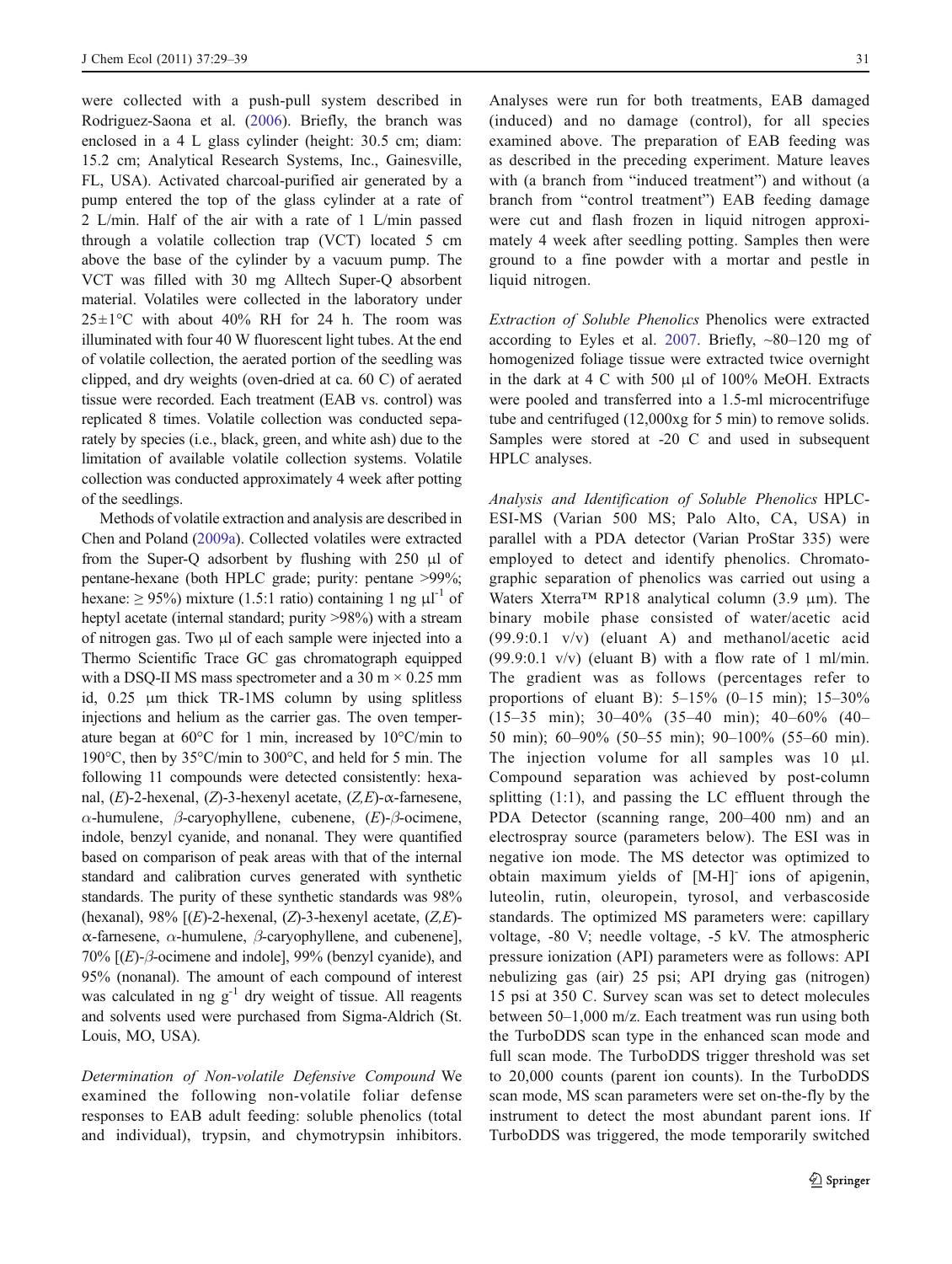were collected with a push-pull system described in Rodriguez-Saona et al. ([2006\)](#page-10-0). Briefly, the branch was enclosed in a 4 L glass cylinder (height: 30.5 cm; diam: 15.2 cm; Analytical Research Systems, Inc., Gainesville, FL, USA). Activated charcoal-purified air generated by a pump entered the top of the glass cylinder at a rate of 2 L/min. Half of the air with a rate of 1 L/min passed through a volatile collection trap (VCT) located 5 cm above the base of the cylinder by a vacuum pump. The VCT was filled with 30 mg Alltech Super-Q absorbent material. Volatiles were collected in the laboratory under  $25\pm1$ °C with about 40% RH for 24 h. The room was illuminated with four 40 W fluorescent light tubes. At the end of volatile collection, the aerated portion of the seedling was clipped, and dry weights (oven-dried at ca. 60 C) of aerated tissue were recorded. Each treatment (EAB vs. control) was replicated 8 times. Volatile collection was conducted separately by species (i.e., black, green, and white ash) due to the limitation of available volatile collection systems. Volatile collection was conducted approximately 4 week after potting of the seedlings.

Methods of volatile extraction and analysis are described in Chen and Poland [\(2009a](#page-9-0)). Collected volatiles were extracted from the Super-Q adsorbent by flushing with 250 μl of pentane-hexane (both HPLC grade; purity: pentane >99%; hexane:  $\geq 95\%$ ) mixture (1.5:1 ratio) containing 1 ng  $\mu$ l<sup>-1</sup> of heptyl acetate (internal standard; purity >98%) with a stream of nitrogen gas. Two μl of each sample were injected into a Thermo Scientific Trace GC gas chromatograph equipped with a DSQ-II MS mass spectrometer and a  $30 \text{ m} \times 0.25 \text{ mm}$ id, 0.25 μm thick TR-1MS column by using splitless injections and helium as the carrier gas. The oven temperature began at 60°C for 1 min, increased by 10°C/min to 190°C, then by 35°C/min to 300°C, and held for 5 min. The following 11 compounds were detected consistently: hexanal, (E)-2-hexenal, (Z)-3-hexenyl acetate,  $(Z, E)$ -α-farnesene, α-humulene, β-caryophyllene, cubenene, (E)-β-ocimene, indole, benzyl cyanide, and nonanal. They were quantified based on comparison of peak areas with that of the internal standard and calibration curves generated with synthetic standards. The purity of these synthetic standards was 98% (hexanal), 98%  $[(E)$ -2-hexenal,  $(Z)$ -3-hexenyl acetate,  $(Z, E)$ α-farnesene, α-humulene, β-caryophyllene, and cubenene], 70%  $[(E)-\beta$ -ocimene and indole], 99% (benzyl cyanide), and 95% (nonanal). The amount of each compound of interest was calculated in ng  $g^{-1}$  dry weight of tissue. All reagents and solvents used were purchased from Sigma-Aldrich (St. Louis, MO, USA).

Determination of Non-volatile Defensive Compound We examined the following non-volatile foliar defense responses to EAB adult feeding: soluble phenolics (total and individual), trypsin, and chymotrypsin inhibitors. Analyses were run for both treatments, EAB damaged (induced) and no damage (control), for all species examined above. The preparation of EAB feeding was as described in the preceding experiment. Mature leaves with (a branch from "induced treatment") and without (a branch from "control treatment") EAB feeding damage were cut and flash frozen in liquid nitrogen approximately 4 week after seedling potting. Samples then were ground to a fine powder with a mortar and pestle in liquid nitrogen.

Extraction of Soluble Phenolics Phenolics were extracted according to Eyles et al. [2007](#page-9-0). Briefly,  $\sim 80-120$  mg of homogenized foliage tissue were extracted twice overnight in the dark at 4 C with 500 μl of 100% MeOH. Extracts were pooled and transferred into a 1.5-ml microcentrifuge tube and centrifuged (12,000xg for 5 min) to remove solids. Samples were stored at -20 C and used in subsequent HPLC analyses.

Analysis and Identification of Soluble Phenolics HPLC-ESI-MS (Varian 500 MS; Palo Alto, CA, USA) in parallel with a PDA detector (Varian ProStar 335) were employed to detect and identify phenolics. Chromatographic separation of phenolics was carried out using a Waters Xterra<sup>TM</sup> RP18 analytical column (3.9  $\mu$ m). The binary mobile phase consisted of water/acetic acid (99.9:0.1 v/v) (eluant A) and methanol/acetic acid  $(99.9:0.1 \text{ v/v})$  (eluant B) with a flow rate of 1 ml/min. The gradient was as follows (percentages refer to proportions of eluant B): 5–15% (0–15 min); 15–30% (15–35 min); 30–40% (35–40 min); 40–60% (40– 50 min); 60–90% (50–55 min); 90–100% (55–60 min). The injection volume for all samples was 10 μl. Compound separation was achieved by post-column splitting (1:1), and passing the LC effluent through the PDA Detector (scanning range, 200–400 nm) and an electrospray source (parameters below). The ESI was in negative ion mode. The MS detector was optimized to obtain maximum yields of [M-H]- ions of apigenin, luteolin, rutin, oleuropein, tyrosol, and verbascoside standards. The optimized MS parameters were: capillary voltage, -80 V; needle voltage, -5 kV. The atmospheric pressure ionization (API) parameters were as follows: API nebulizing gas (air) 25 psi; API drying gas (nitrogen) 15 psi at 350 C. Survey scan was set to detect molecules between 50–1,000 m/z. Each treatment was run using both the TurboDDS scan type in the enhanced scan mode and full scan mode. The TurboDDS trigger threshold was set to 20,000 counts (parent ion counts). In the TurboDDS scan mode, MS scan parameters were set on-the-fly by the instrument to detect the most abundant parent ions. If TurboDDS was triggered, the mode temporarily switched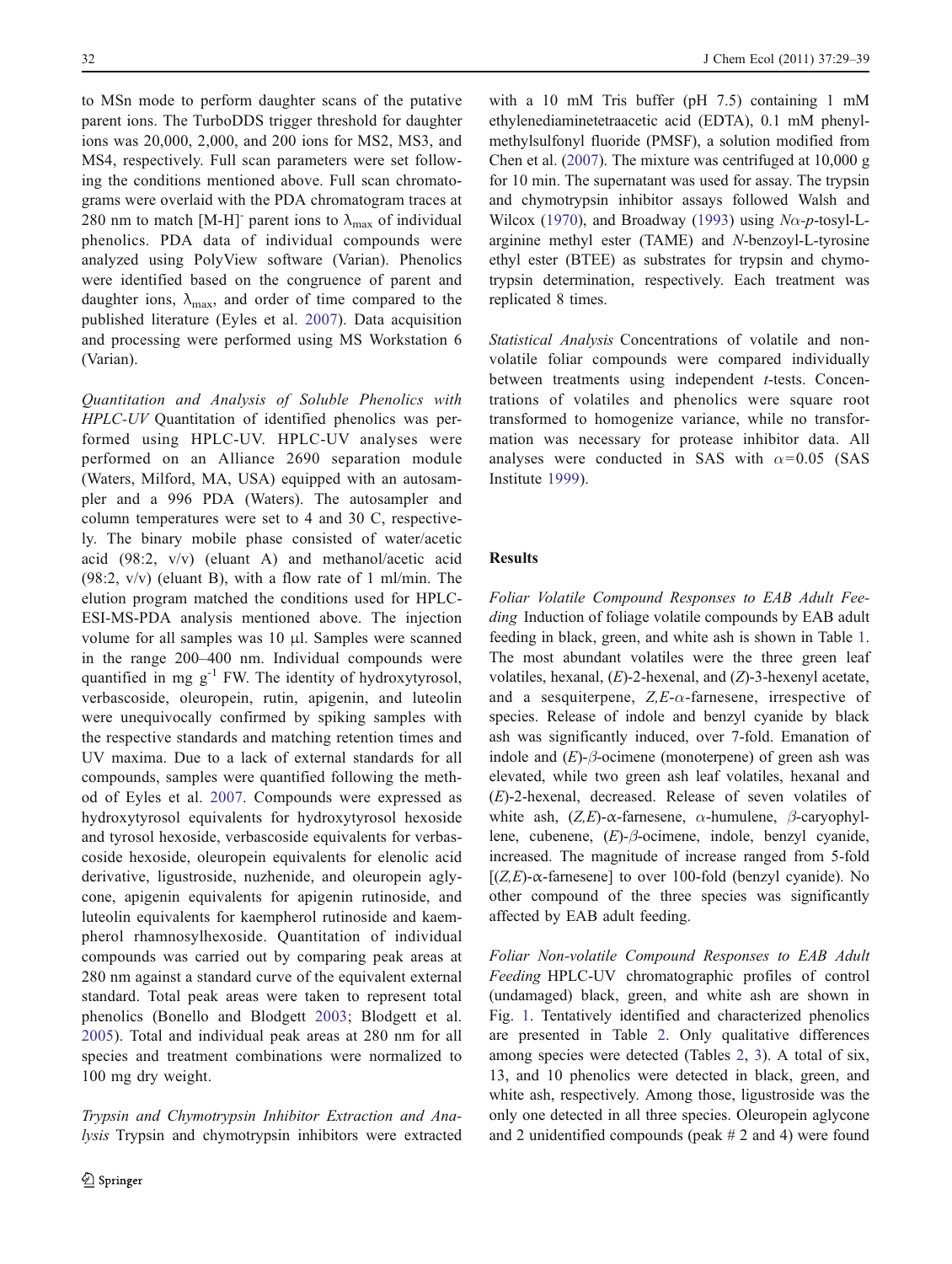to MSn mode to perform daughter scans of the putative parent ions. The TurboDDS trigger threshold for daughter ions was 20,000, 2,000, and 200 ions for MS2, MS3, and MS4, respectively. Full scan parameters were set following the conditions mentioned above. Full scan chromatograms were overlaid with the PDA chromatogram traces at 280 nm to match [M-H]<sup>-</sup> parent ions to  $\lambda_{\text{max}}$  of individual phenolics. PDA data of individual compounds were analyzed using PolyView software (Varian). Phenolics were identified based on the congruence of parent and daughter ions,  $\lambda_{\text{max}}$ , and order of time compared to the published literature (Eyles et al. [2007](#page-9-0)). Data acquisition and processing were performed using MS Workstation 6 (Varian).

Quantitation and Analysis of Soluble Phenolics with HPLC-UV Quantitation of identified phenolics was performed using HPLC-UV. HPLC-UV analyses were performed on an Alliance 2690 separation module (Waters, Milford, MA, USA) equipped with an autosampler and a 996 PDA (Waters). The autosampler and column temperatures were set to 4 and 30 C, respectively. The binary mobile phase consisted of water/acetic acid (98:2, v/v) (eluant A) and methanol/acetic acid (98:2, v/v) (eluant B), with a flow rate of 1 ml/min. The elution program matched the conditions used for HPLC-ESI-MS-PDA analysis mentioned above. The injection volume for all samples was 10 μl. Samples were scanned in the range 200–400 nm. Individual compounds were quantified in mg  $g^{-1}$  FW. The identity of hydroxytyrosol, verbascoside, oleuropein, rutin, apigenin, and luteolin were unequivocally confirmed by spiking samples with the respective standards and matching retention times and UV maxima. Due to a lack of external standards for all compounds, samples were quantified following the method of Eyles et al. [2007.](#page-9-0) Compounds were expressed as hydroxytyrosol equivalents for hydroxytyrosol hexoside and tyrosol hexoside, verbascoside equivalents for verbascoside hexoside, oleuropein equivalents for elenolic acid derivative, ligustroside, nuzhenide, and oleuropein aglycone, apigenin equivalents for apigenin rutinoside, and luteolin equivalents for kaempherol rutinoside and kaempherol rhamnosylhexoside. Quantitation of individual compounds was carried out by comparing peak areas at 280 nm against a standard curve of the equivalent external standard. Total peak areas were taken to represent total phenolics (Bonello and Blodgett [2003;](#page-9-0) Blodgett et al. [2005](#page-9-0)). Total and individual peak areas at 280 nm for all species and treatment combinations were normalized to 100 mg dry weight.

Trypsin and Chymotrypsin Inhibitor Extraction and Analysis Trypsin and chymotrypsin inhibitors were extracted

with a 10 mM Tris buffer (pH 7.5) containing 1 mM ethylenediaminetetraacetic acid (EDTA), 0.1 mM phenylmethylsulfonyl fluoride (PMSF), a solution modified from Chen et al. ([2007\)](#page-9-0). The mixture was centrifuged at 10,000 g for 10 min. The supernatant was used for assay. The trypsin and chymotrypsin inhibitor assays followed Walsh and Wilcox ([1970\)](#page-10-0), and Broadway [\(1993](#page-9-0)) using  $N\alpha$ -p-tosyl-Larginine methyl ester (TAME) and N-benzoyl-L-tyrosine ethyl ester (BTEE) as substrates for trypsin and chymotrypsin determination, respectively. Each treatment was replicated 8 times.

Statistical Analysis Concentrations of volatile and nonvolatile foliar compounds were compared individually between treatments using independent *t*-tests. Concentrations of volatiles and phenolics were square root transformed to homogenize variance, while no transformation was necessary for protease inhibitor data. All analyses were conducted in SAS with  $\alpha$ =0.05 (SAS Institute [1999\)](#page-9-0).

# Results

Foliar Volatile Compound Responses to EAB Adult Feeding Induction of foliage volatile compounds by EAB adult feeding in black, green, and white ash is shown in Table [1.](#page-4-0) The most abundant volatiles were the three green leaf volatiles, hexanal,  $(E)$ -2-hexenal, and  $(Z)$ -3-hexenyl acetate, and a sesquiterpene,  $Z, E$ - $\alpha$ -farnesene, irrespective of species. Release of indole and benzyl cyanide by black ash was significantly induced, over 7-fold. Emanation of indole and  $(E)$ - $\beta$ -ocimene (monoterpene) of green ash was elevated, while two green ash leaf volatiles, hexanal and (E)-2-hexenal, decreased. Release of seven volatiles of white ash,  $(Z,E)$ - $\alpha$ -farnesene,  $\alpha$ -humulene,  $\beta$ -caryophyllene, cubenene, (E)-β-ocimene, indole, benzyl cyanide, increased. The magnitude of increase ranged from 5-fold [ $(Z,E)$ - $\alpha$ -farnesene] to over 100-fold (benzyl cyanide). No other compound of the three species was significantly affected by EAB adult feeding.

Foliar Non-volatile Compound Responses to EAB Adult Feeding HPLC-UV chromatographic profiles of control (undamaged) black, green, and white ash are shown in Fig. [1.](#page-5-0) Tentatively identified and characterized phenolics are presented in Table [2.](#page-6-0) Only qualitative differences among species were detected (Tables [2,](#page-6-0) [3](#page-7-0)). A total of six, 13, and 10 phenolics were detected in black, green, and white ash, respectively. Among those, ligustroside was the only one detected in all three species. Oleuropein aglycone and 2 unidentified compounds (peak # 2 and 4) were found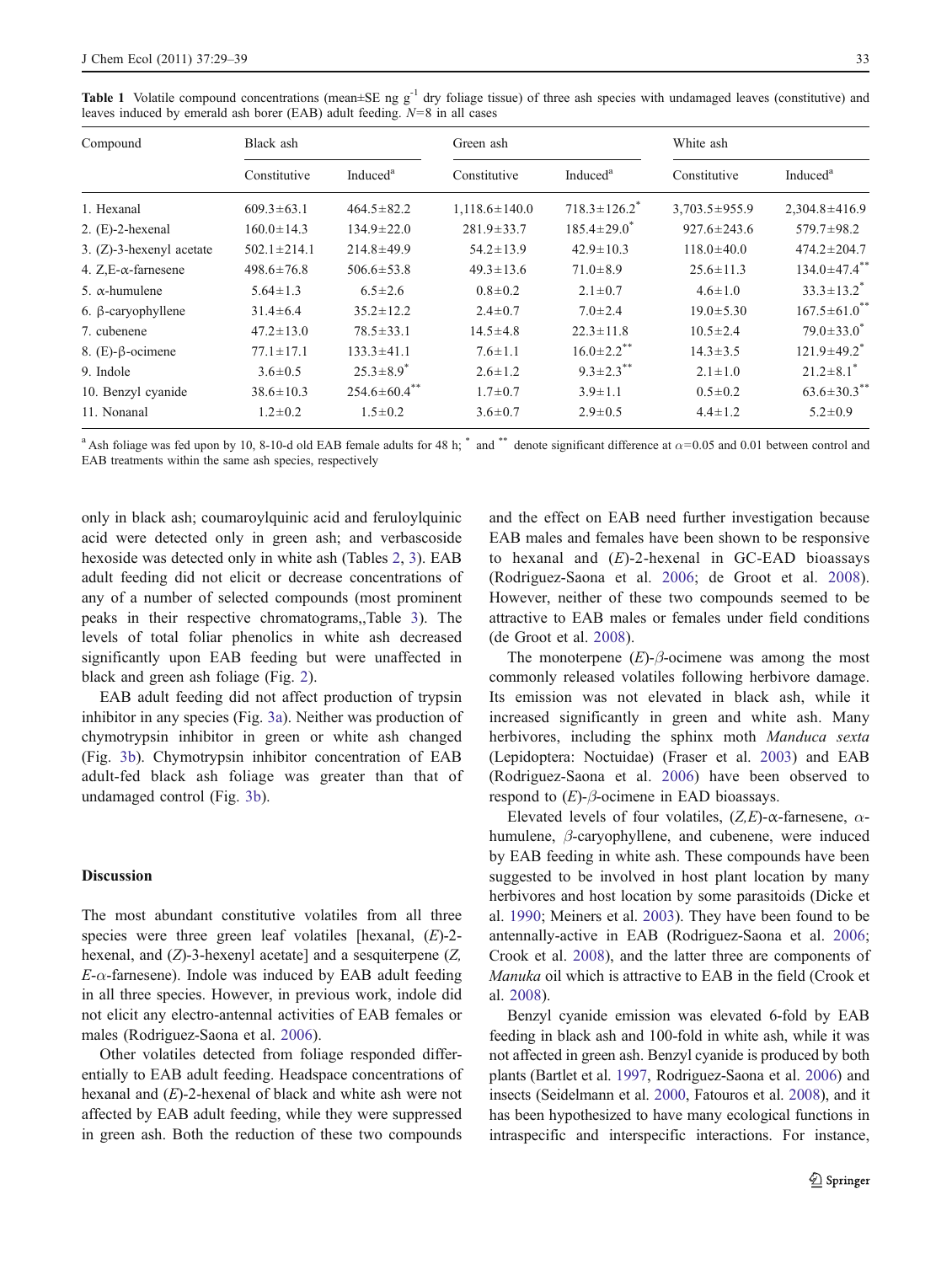| Compound                   | Black ash         |                             | Green ash           |                              | White ash           |                                |  |  |
|----------------------------|-------------------|-----------------------------|---------------------|------------------------------|---------------------|--------------------------------|--|--|
|                            | Constitutive      | Induced <sup>a</sup>        | Constitutive        | Induced <sup>a</sup>         | Constitutive        | Induced <sup>a</sup>           |  |  |
| 1. Hexanal                 | $609.3 \pm 63.1$  | $464.5 \pm 82.2$            | $1,118.6 \pm 140.0$ | $718.3 \pm 126.2^*$          | $3,703.5 \pm 955.9$ | $2,304.8 \pm 416.9$            |  |  |
| $2. (E)-2$ -hexenal        | $160.0 \pm 14.3$  | $134.9 \pm 22.0$            | $281.9 \pm 33.7$    | $185.4 \pm 29.0^*$           | $927.6 \pm 243.6$   | 579.7±98.2                     |  |  |
| 3. (Z)-3-hexenyl acetate   | $502.1 \pm 214.1$ | $214.8 \pm 49.9$            | $54.2 \pm 13.9$     | $42.9 \pm 10.3$              | $118.0 \pm 40.0$    | $474.2 \pm 204.7$              |  |  |
| 4. $Z.E-\alpha$ -farnesene | $498.6 \pm 76.8$  | $506.6 \pm 53.8$            | $49.3 \pm 13.6$     | $71.0 \pm 8.9$               | $25.6 \pm 11.3$     | $134.0 \pm 47.4$ **            |  |  |
| 5. $\alpha$ -humulene      | $5.64 \pm 1.3$    | $6.5 \pm 2.6$               | $0.8 \pm 0.2$       | $2.1 \pm 0.7$                | $4.6 \pm 1.0$       | $33.3 \pm 13.2$ <sup>*</sup>   |  |  |
| 6. $\beta$ -caryophyllene  | $31.4 \pm 6.4$    | $35.2 \pm 12.2$             | $2.4 \pm 0.7$       | $7.0 \pm 2.4$                | $19.0 \pm 5.30$     | $167.5 \pm 61.0$ <sup>**</sup> |  |  |
| 7. cubenene                | $47.2 \pm 13.0$   | $78.5 \pm 33.1$             | $14.5 \pm 4.8$      | $22.3 \pm 11.8$              | $10.5 \pm 2.4$      | $79.0 \pm 33.0^*$              |  |  |
| 8. (E)- $\beta$ -ocimene   | $77.1 \pm 17.1$   | $133.3 \pm 41.1$            | $7.6 \pm 1.1$       | $16.0 \pm 2.2$ <sup>**</sup> | $14.3 \pm 3.5$      | $121.9 \pm 49.2$ <sup>*</sup>  |  |  |
| 9. Indole                  | $3.6 \pm 0.5$     | $25.3 \pm 8.9$ <sup>*</sup> | $2.6 \pm 1.2$       | $9.3 \pm 2.3$ **             | $2.1 \pm 1.0$       | $21.2 \pm 8.1$ <sup>*</sup>    |  |  |
| 10. Benzyl cyanide         | $38.6 \pm 10.3$   | $254.6 \pm 60.4$ **         | $1.7 \pm 0.7$       | $3.9 \pm 1.1$                | $0.5 \pm 0.2$       | $63.6 \pm 30.3$ **             |  |  |
| 11. Nonanal                | $1.2 \pm 0.2$     | $1.5 \pm 0.2$               | $3.6 \pm 0.7$       | $2.9 \pm 0.5$                | $4.4 \pm 1.2$       | $5.2 \pm 0.9$                  |  |  |

<span id="page-4-0"></span>**Table 1** Volatile compound concentrations (mean $\pm$ SE ng g<sup>-1</sup> dry foliage tissue) of three ash species with undamaged leaves (constitutive) and leaves induced by emerald ash borer (EAB) adult feeding.  $N=8$  in all cases

<sup>a</sup> Ash foliage was fed upon by 10, 8-10-d old EAB female adults for 48 h; \* and \*\* denote significant difference at  $\alpha$ =0.05 and 0.01 between control and EAB treatments within the same ash species, respectively

only in black ash; coumaroylquinic acid and feruloylquinic acid were detected only in green ash; and verbascoside hexoside was detected only in white ash (Tables [2,](#page-6-0) [3\)](#page-7-0). EAB adult feeding did not elicit or decrease concentrations of any of a number of selected compounds (most prominent peaks in their respective chromatograms,,Table [3](#page-7-0)). The levels of total foliar phenolics in white ash decreased significantly upon EAB feeding but were unaffected in black and green ash foliage (Fig. [2\)](#page-8-0).

EAB adult feeding did not affect production of trypsin inhibitor in any species (Fig. [3a\)](#page-8-0). Neither was production of chymotrypsin inhibitor in green or white ash changed (Fig. [3b](#page-8-0)). Chymotrypsin inhibitor concentration of EAB adult-fed black ash foliage was greater than that of undamaged control (Fig. [3b\)](#page-8-0).

#### **Discussion**

The most abundant constitutive volatiles from all three species were three green leaf volatiles [hexanal,  $(E)$ -2hexenal, and  $(Z)$ -3-hexenyl acetate] and a sesquiterpene  $(Z,$  $E$ - $\alpha$ -farnesene). Indole was induced by EAB adult feeding in all three species. However, in previous work, indole did not elicit any electro-antennal activities of EAB females or males (Rodriguez-Saona et al. [2006\)](#page-10-0).

Other volatiles detected from foliage responded differentially to EAB adult feeding. Headspace concentrations of hexanal and  $(E)$ -2-hexenal of black and white ash were not affected by EAB adult feeding, while they were suppressed in green ash. Both the reduction of these two compounds and the effect on EAB need further investigation because EAB males and females have been shown to be responsive to hexanal and  $(E)$ -2-hexenal in GC-EAD bioassays (Rodriguez-Saona et al. [2006;](#page-10-0) de Groot et al. [2008](#page-9-0)). However, neither of these two compounds seemed to be attractive to EAB males or females under field conditions (de Groot et al. [2008\)](#page-9-0).

The monoterpene  $(E)$ - $\beta$ -ocimene was among the most commonly released volatiles following herbivore damage. Its emission was not elevated in black ash, while it increased significantly in green and white ash. Many herbivores, including the sphinx moth *Manduca sexta* (Lepidoptera: Noctuidae) (Fraser et al. [2003\)](#page-9-0) and EAB (Rodriguez-Saona et al. [2006](#page-10-0)) have been observed to respond to  $(E)$ - $\beta$ -ocimene in EAD bioassays.

Elevated levels of four volatiles,  $(Z,E)$ -α-farnesene,  $\alpha$ humulene,  $\beta$ -caryophyllene, and cubenene, were induced by EAB feeding in white ash. These compounds have been suggested to be involved in host plant location by many herbivores and host location by some parasitoids (Dicke et al. [1990;](#page-9-0) Meiners et al. [2003](#page-10-0)). They have been found to be antennally-active in EAB (Rodriguez-Saona et al. [2006;](#page-10-0) Crook et al. [2008\)](#page-9-0), and the latter three are components of Manuka oil which is attractive to EAB in the field (Crook et al. [2008\)](#page-9-0).

Benzyl cyanide emission was elevated 6-fold by EAB feeding in black ash and 100-fold in white ash, while it was not affected in green ash. Benzyl cyanide is produced by both plants (Bartlet et al. [1997,](#page-9-0) Rodriguez-Saona et al. [2006\)](#page-10-0) and insects (Seidelmann et al. [2000](#page-10-0), Fatouros et al. [2008](#page-9-0)), and it has been hypothesized to have many ecological functions in intraspecific and interspecific interactions. For instance,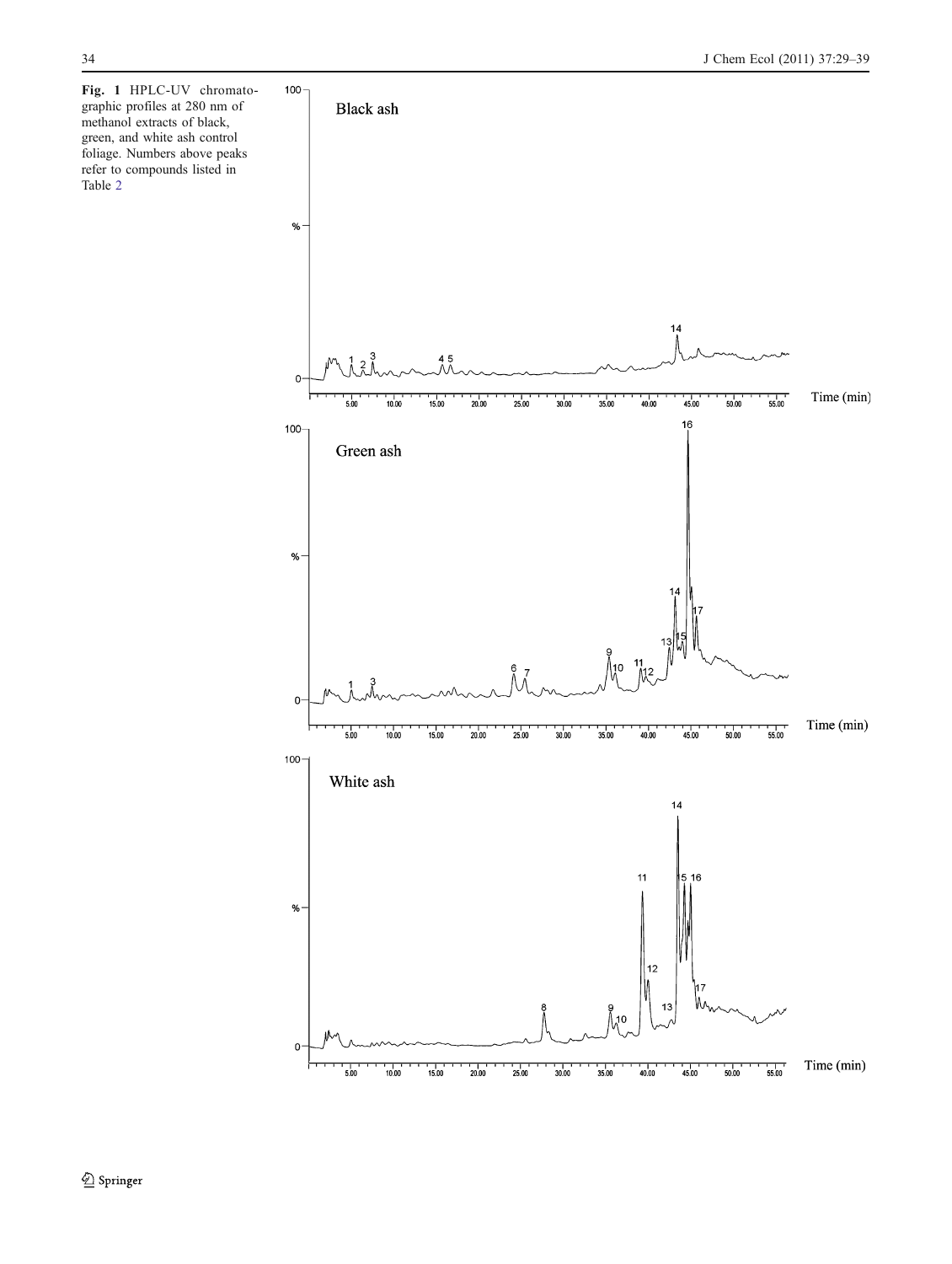<span id="page-5-0"></span>Fig. 1 HPLC-UV chromatographic profiles at 280 nm of methanol extracts of black, green, and white ash control foliage. Numbers above peaks refer to compounds listed in Table [2](#page-6-0)

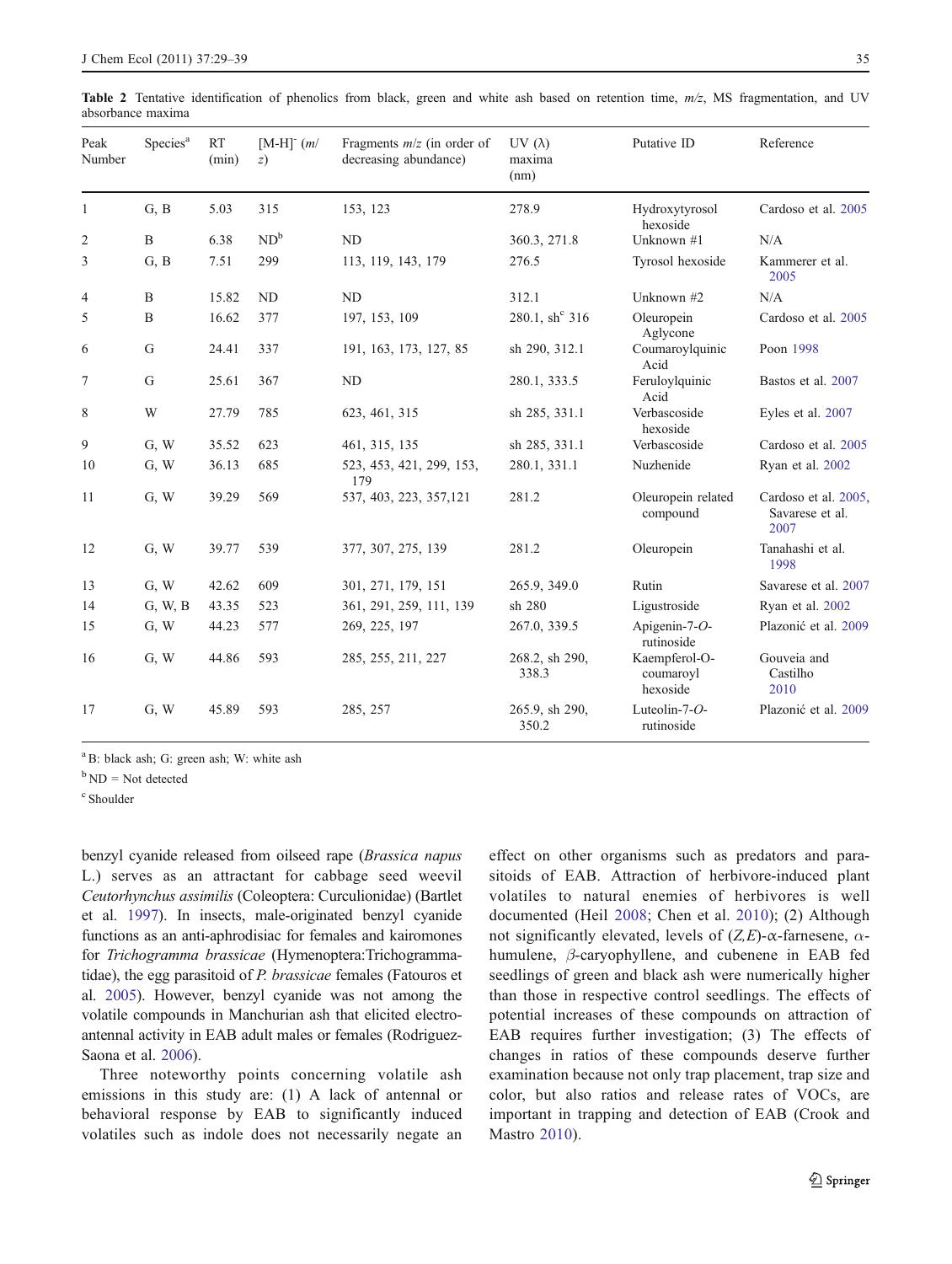<span id="page-6-0"></span>

|                   |  |  |  |  |  |  |  | Table 2 Tentative identification of phenolics from black, green and white ash based on retention time, $m/z$ , MS fragmentation, and UV |  |
|-------------------|--|--|--|--|--|--|--|-----------------------------------------------------------------------------------------------------------------------------------------|--|
| absorbance maxima |  |  |  |  |  |  |  |                                                                                                                                         |  |

| Peak<br>Number | Species <sup>a</sup> | <b>RT</b><br>(min) | $[M-H]$ <sup><math>(m/</math></sup><br>z) | Fragments $m/z$ (in order of<br>decreasing abundance) | UV $(\lambda)$<br>maxima<br>(nm) | Putative ID                            | Reference                                       |  |
|----------------|----------------------|--------------------|-------------------------------------------|-------------------------------------------------------|----------------------------------|----------------------------------------|-------------------------------------------------|--|
| 1              | G, B                 | 5.03               | 315                                       | 153, 123                                              | 278.9                            | Hydroxytyrosol<br>hexoside             | Cardoso et al. 2005                             |  |
| $\overline{c}$ | B                    | 6.38               | $ND^b$                                    | <b>ND</b>                                             | 360.3, 271.8                     | Unknown #1                             | N/A                                             |  |
| 3              | G, B                 | 7.51               | 299                                       | 113, 119, 143, 179                                    | 276.5                            | Tyrosol hexoside                       | Kammerer et al.<br>2005                         |  |
| 4              | B                    | 15.82              | <b>ND</b>                                 | <b>ND</b>                                             | 312.1                            | Unknown #2                             | N/A                                             |  |
| 5              | B                    | 16.62              | 377                                       | 197, 153, 109                                         | 280.1, $sh^c$ 316                | Oleuropein<br>Aglycone                 | Cardoso et al. 2005                             |  |
| 6              | G                    | 24.41              | 337                                       | 191, 163, 173, 127, 85                                | sh 290, 312.1                    | Coumaroylquinic<br>Acid                | Poon 1998                                       |  |
| 7              | G                    | 25.61              | 367                                       | ND                                                    | 280.1, 333.5                     | Feruloylquinic<br>Acid                 | Bastos et al. 2007                              |  |
| 8              | W                    | 27.79              | 785                                       | 623, 461, 315                                         | sh 285, 331.1                    | Verbascoside<br>hexoside               | Eyles et al. 2007                               |  |
| 9              | G, W                 | 35.52              | 623                                       | 461, 315, 135                                         | sh 285, 331.1                    | Verbascoside                           | Cardoso et al. 2005                             |  |
| 10             | G, W                 | 36.13              | 685                                       | 523, 453, 421, 299, 153,<br>179                       | 280.1, 331.1                     | Nuzhenide                              | Ryan et al. 2002                                |  |
| 11             | G, W                 | 39.29              | 569                                       | 537, 403, 223, 357, 121                               | 281.2                            | Oleuropein related<br>compound         | Cardoso et al. 2005,<br>Savarese et al.<br>2007 |  |
| 12             | G, W                 | 39.77              | 539                                       | 377, 307, 275, 139                                    | 281.2                            | Oleuropein                             | Tanahashi et al.<br>1998                        |  |
| 13             | G, W                 | 42.62              | 609                                       | 301, 271, 179, 151                                    | 265.9, 349.0                     | Rutin                                  | Savarese et al. 2007                            |  |
| 14             | G, W, B              | 43.35              | 523                                       | 361, 291, 259, 111, 139                               | sh 280                           | Ligustroside                           | Ryan et al. 2002                                |  |
| 15             | G, W                 | 44.23              | 577                                       | 269, 225, 197                                         | 267.0, 339.5                     | Apigenin-7-O-<br>rutinoside            | Plazonić et al. 2009                            |  |
| 16             | G, W                 | 44.86              | 593                                       | 285, 255, 211, 227                                    | 268.2, sh 290,<br>338.3          | Kaempferol-O-<br>coumaroyl<br>hexoside | Gouveia and<br>Castilho<br>2010                 |  |
| 17             | G, W                 | 45.89              | 593                                       | 285, 257                                              | 265.9, sh 290,<br>350.2          | Luteolin-7-O-<br>rutinoside            | Plazonić et al. 2009                            |  |

<sup>a</sup> B: black ash; G: green ash; W: white ash

 $b$  ND = Not detected

c Shoulder

benzyl cyanide released from oilseed rape (Brassica napus L.) serves as an attractant for cabbage seed weevil Ceutorhynchus assimilis (Coleoptera: Curculionidae) (Bartlet et al. [1997](#page-9-0)). In insects, male-originated benzyl cyanide functions as an anti-aphrodisiac for females and kairomones for Trichogramma brassicae (Hymenoptera:Trichogrammatidae), the egg parasitoid of P. brassicae females (Fatouros et al. [2005](#page-9-0)). However, benzyl cyanide was not among the volatile compounds in Manchurian ash that elicited electroantennal activity in EAB adult males or females (Rodriguez-Saona et al. [2006](#page-10-0)).

Three noteworthy points concerning volatile ash emissions in this study are: (1) A lack of antennal or behavioral response by EAB to significantly induced volatiles such as indole does not necessarily negate an effect on other organisms such as predators and parasitoids of EAB. Attraction of herbivore-induced plant volatiles to natural enemies of herbivores is well documented (Heil [2008](#page-9-0); Chen et al. [2010](#page-9-0)); (2) Although not significantly elevated, levels of  $(Z,E)$ -α-farnesene, αhumulene, β-caryophyllene, and cubenene in EAB fed seedlings of green and black ash were numerically higher than those in respective control seedlings. The effects of potential increases of these compounds on attraction of EAB requires further investigation; (3) The effects of changes in ratios of these compounds deserve further examination because not only trap placement, trap size and color, but also ratios and release rates of VOCs, are important in trapping and detection of EAB (Crook and Mastro [2010](#page-9-0)).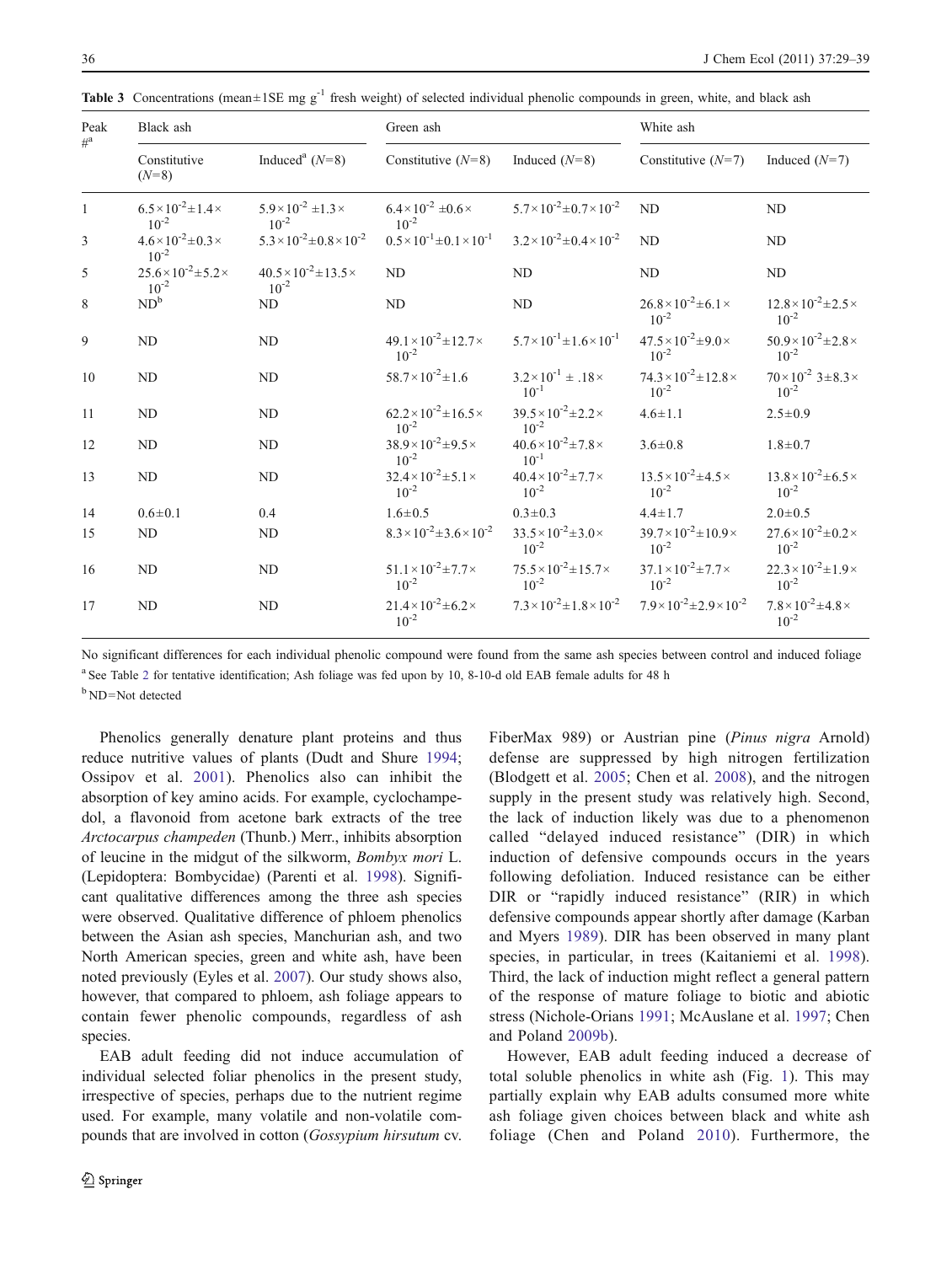| Peak         | Black ash                                         |                                                    | Green ash                                          |                                                    | White ash                                          |                                                   |  |  |
|--------------|---------------------------------------------------|----------------------------------------------------|----------------------------------------------------|----------------------------------------------------|----------------------------------------------------|---------------------------------------------------|--|--|
| $\#^a$       | Constitutive<br>$(N=8)$                           | Induced <sup>a</sup> $(N=8)$                       | Constitutive $(N=8)$                               | Induced $(N=8)$                                    | Constitutive $(N=7)$                               | Induced $(N=7)$                                   |  |  |
| $\mathbf{1}$ | $6.5 \times 10^{-2} \pm 1.4 \times$<br>$10^{-2}$  | $5.9\times10^{-2}$ ±1.3 $\times$<br>$10^{-2}$      | $6.4\times10^{-2}$ ±0.6 $\times$<br>$10^{-2}$      | $5.7 \times 10^{-2} \pm 0.7 \times 10^{-2}$        | N <sub>D</sub>                                     | ND                                                |  |  |
| 3            | $4.6 \times 10^{-2} \pm 0.3 \times$<br>$10^{-2}$  | $5.3 \times 10^{-2} \pm 0.8 \times 10^{-2}$        | $0.5 \times 10^{-1} \pm 0.1 \times 10^{-1}$        | $3.2 \times 10^{-2} \pm 0.4 \times 10^{-2}$        | N <sub>D</sub>                                     | ND                                                |  |  |
| 5            | $25.6 \times 10^{-2} \pm 5.2 \times$<br>$10^{-2}$ | $40.5 \times 10^{-2} \pm 13.5 \times$<br>$10^{-2}$ | <b>ND</b>                                          | <b>ND</b>                                          | ND                                                 | ND                                                |  |  |
| 8            | $ND^b$                                            | N <sub>D</sub>                                     | ND                                                 | ND                                                 | $26.8 \times 10^{-2} \pm 6.1 \times$<br>$10^{-2}$  | $12.8 \times 10^{-2} \pm 2.5 \times$<br>$10^{-2}$ |  |  |
| 9            | <b>ND</b>                                         | <b>ND</b>                                          | $49.1 \times 10^{-2} \pm 12.7 \times$<br>$10^{-2}$ | $5.7 \times 10^{-1} \pm 1.6 \times 10^{-1}$        | $47.5 \times 10^{-2} \pm 9.0 \times$<br>$10^{-2}$  | $50.9 \times 10^{-2} \pm 2.8 \times$<br>$10^{-2}$ |  |  |
| 10           | ND                                                | <b>ND</b>                                          | $58.7 \times 10^{-2} \pm 1.6$                      | $3.2 \times 10^{-1} \pm .18 \times$<br>$10^{-1}$   | $74.3 \times 10^{-2} \pm 12.8 \times$<br>$10^{-2}$ | $70\times10^{-2}$ $3\pm8.3\times$<br>$10^{-2}$    |  |  |
| 11           | ND                                                | ND                                                 | $62.2 \times 10^{-2} \pm 16.5 \times$<br>$10^{-2}$ | $39.5\times10^{-2}\pm2.2\times$<br>$10^{-2}$       | $4.6 \pm 1.1$                                      | $2.5 \pm 0.9$                                     |  |  |
| 12           | <b>ND</b>                                         | <b>ND</b>                                          | $38.9 \times 10^{-2} \pm 9.5 \times$<br>$10^{-2}$  | $40.6 \times 10^{-2} \pm 7.8 \times$<br>$10^{-1}$  | $3.6 \pm 0.8$                                      | $1.8 \pm 0.7$                                     |  |  |
| 13           | ND                                                | N <sub>D</sub>                                     | $32.4 \times 10^{-2} \pm 5.1 \times$<br>$10^{-2}$  | $40.4\times10^{-2}{\pm}7.7\times$<br>$10^{-2}$     | $13.5 \times 10^{-2} \pm 4.5 \times$<br>$10^{-2}$  | $13.8 \times 10^{-2} \pm 6.5 \times$<br>$10^{-2}$ |  |  |
| 14           | $0.6 \pm 0.1$                                     | 0.4                                                | $1.6 \pm 0.5$                                      | $0.3 \pm 0.3$                                      | $4.4 \pm 1.7$                                      | $2.0 \pm 0.5$                                     |  |  |
| 15           | ND                                                | ND                                                 | $8.3 \times 10^{-2} \pm 3.6 \times 10^{-2}$        | $33.5 \times 10^{-2} \pm 3.0 \times$<br>$10^{-2}$  | $39.7 \times 10^{-2} \pm 10.9 \times$<br>$10^{-2}$ | $27.6 \times 10^{-2} \pm 0.2 \times$<br>$10^{-2}$ |  |  |
| 16           | ND                                                | ND                                                 | $51.1 \times 10^{-2} \pm 7.7 \times$<br>$10^{-2}$  | $75.5 \times 10^{-2} \pm 15.7 \times$<br>$10^{-2}$ | $37.1 \times 10^{-2} \pm 7.7 \times$<br>$10^{-2}$  | $22.3 \times 10^{-2} \pm 1.9 \times$<br>$10^{-2}$ |  |  |
| 17           | <b>ND</b>                                         | <b>ND</b>                                          | $21.4 \times 10^{-2} \pm 6.2 \times$<br>$10^{-2}$  | $7.3 \times 10^{-2} \pm 1.8 \times 10^{-2}$        | $7.9 \times 10^{-2} \pm 2.9 \times 10^{-2}$        | $7.8\times10^{-2}$ ±4.8 $\times$<br>$10^{-2}$     |  |  |

<span id="page-7-0"></span>**Table 3** Concentrations (mean $\pm$ 1SE mg g<sup>-1</sup> fresh weight) of selected individual phenolic compounds in green, white, and black ash

No significant differences for each individual phenolic compound were found from the same ash species between control and induced foliage

<sup>a</sup> See Table [2](#page-6-0) for tentative identification; Ash foliage was fed upon by 10, 8-10-d old EAB female adults for 48 h

<sup>b</sup> ND=Not detected

Phenolics generally denature plant proteins and thus reduce nutritive values of plants (Dudt and Shure [1994](#page-9-0); Ossipov et al. [2001\)](#page-10-0). Phenolics also can inhibit the absorption of key amino acids. For example, cyclochampedol, a flavonoid from acetone bark extracts of the tree Arctocarpus champeden (Thunb.) Merr., inhibits absorption of leucine in the midgut of the silkworm, Bombyx mori L. (Lepidoptera: Bombycidae) (Parenti et al. [1998\)](#page-10-0). Significant qualitative differences among the three ash species were observed. Qualitative difference of phloem phenolics between the Asian ash species, Manchurian ash, and two North American species, green and white ash, have been noted previously (Eyles et al. [2007](#page-9-0)). Our study shows also, however, that compared to phloem, ash foliage appears to contain fewer phenolic compounds, regardless of ash species.

EAB adult feeding did not induce accumulation of individual selected foliar phenolics in the present study, irrespective of species, perhaps due to the nutrient regime used. For example, many volatile and non-volatile compounds that are involved in cotton (Gossypium hirsutum cv.

FiberMax 989) or Austrian pine (Pinus nigra Arnold) defense are suppressed by high nitrogen fertilization (Blodgett et al. [2005](#page-9-0); Chen et al. [2008](#page-9-0)), and the nitrogen supply in the present study was relatively high. Second, the lack of induction likely was due to a phenomenon called "delayed induced resistance" (DIR) in which induction of defensive compounds occurs in the years following defoliation. Induced resistance can be either DIR or "rapidly induced resistance" (RIR) in which defensive compounds appear shortly after damage (Karban and Myers [1989\)](#page-9-0). DIR has been observed in many plant species, in particular, in trees (Kaitaniemi et al. [1998](#page-9-0)). Third, the lack of induction might reflect a general pattern of the response of mature foliage to biotic and abiotic stress (Nichole-Orians [1991;](#page-10-0) McAuslane et al. [1997](#page-9-0); Chen and Poland [2009b\)](#page-9-0).

However, EAB adult feeding induced a decrease of total soluble phenolics in white ash (Fig. [1\)](#page-5-0). This may partially explain why EAB adults consumed more white ash foliage given choices between black and white ash foliage (Chen and Poland [2010](#page-9-0)). Furthermore, the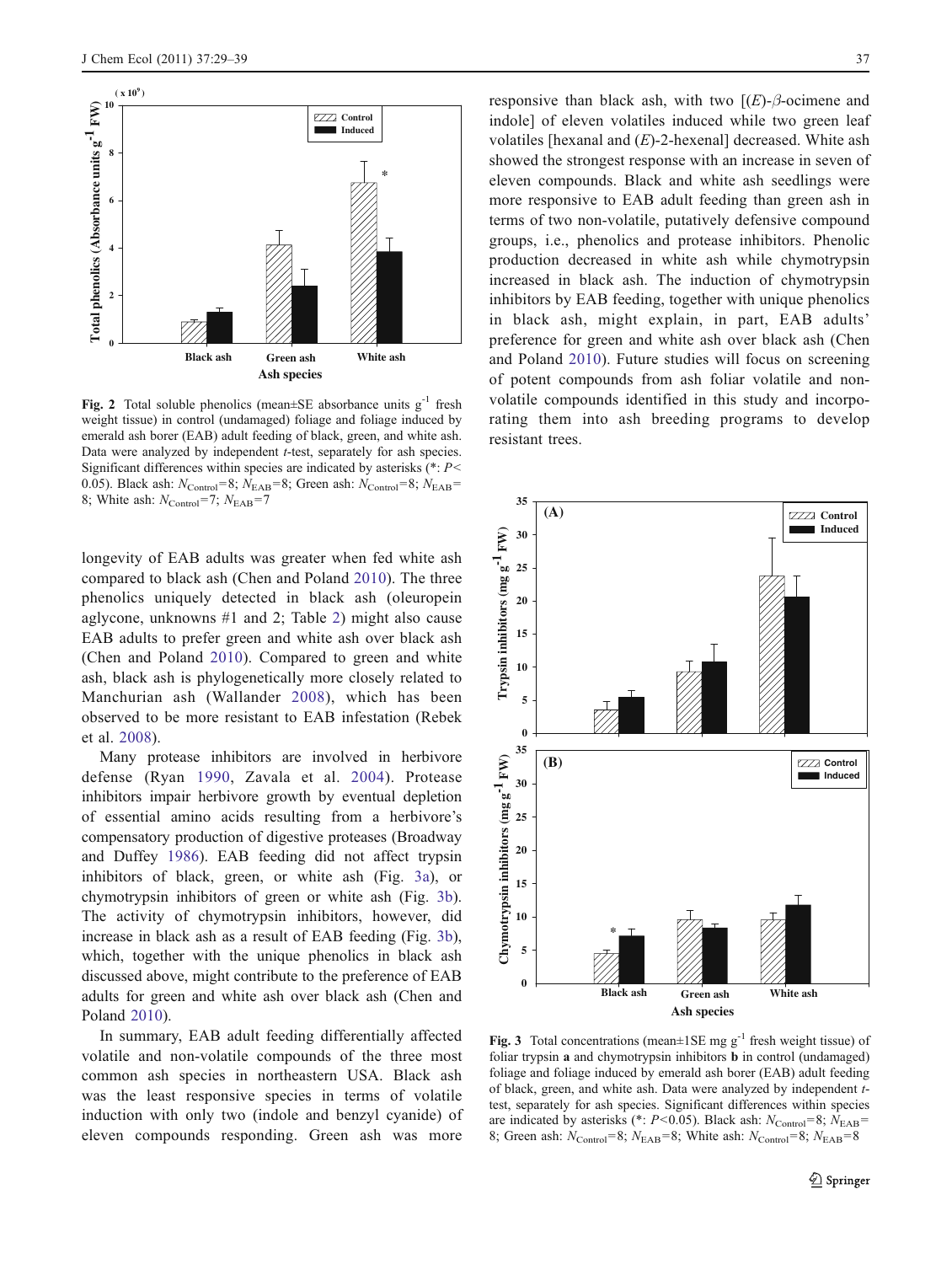<span id="page-8-0"></span>

**Fig. 2** Total soluble phenolics (mean $\pm$ SE absorbance units  $g^{-1}$  fresh weight tissue) in control (undamaged) foliage and foliage induced by emerald ash borer (EAB) adult feeding of black, green, and white ash. Data were analyzed by independent t-test, separately for ash species. Significant differences within species are indicated by asterisks  $(*: P<$ 0.05). Black ash:  $N_{\text{Control}}=8$ ;  $N_{\text{EAB}}=8$ ; Green ash:  $N_{\text{Control}}=8$ ;  $N_{\text{EAB}}=$ 8; White ash:  $N_{\text{Control}} = 7$ ;  $N_{\text{EAB}} = 7$ 

longevity of EAB adults was greater when fed white ash compared to black ash (Chen and Poland [2010\)](#page-9-0). The three phenolics uniquely detected in black ash (oleuropein aglycone, unknowns #1 and 2; Table [2](#page-6-0)) might also cause EAB adults to prefer green and white ash over black ash (Chen and Poland [2010\)](#page-9-0). Compared to green and white ash, black ash is phylogenetically more closely related to Manchurian ash (Wallander [2008\)](#page-10-0), which has been observed to be more resistant to EAB infestation (Rebek et al. [2008](#page-10-0)).

Many protease inhibitors are involved in herbivore defense (Ryan [1990](#page-10-0), Zavala et al. [2004\)](#page-10-0). Protease inhibitors impair herbivore growth by eventual depletion of essential amino acids resulting from a herbivore's compensatory production of digestive proteases (Broadway and Duffey [1986\)](#page-9-0). EAB feeding did not affect trypsin inhibitors of black, green, or white ash (Fig. 3a), or chymotrypsin inhibitors of green or white ash (Fig. 3b). The activity of chymotrypsin inhibitors, however, did increase in black ash as a result of EAB feeding (Fig. 3b), which, together with the unique phenolics in black ash discussed above, might contribute to the preference of EAB adults for green and white ash over black ash (Chen and Poland [2010\)](#page-9-0).

In summary, EAB adult feeding differentially affected volatile and non-volatile compounds of the three most common ash species in northeastern USA. Black ash was the least responsive species in terms of volatile induction with only two (indole and benzyl cyanide) of eleven compounds responding. Green ash was more

responsive than black ash, with two  $[(E)-\beta$ -ocimene and indole] of eleven volatiles induced while two green leaf volatiles [hexanal and  $(E)$ -2-hexenal] decreased. White ash showed the strongest response with an increase in seven of eleven compounds. Black and white ash seedlings were more responsive to EAB adult feeding than green ash in terms of two non-volatile, putatively defensive compound groups, i.e., phenolics and protease inhibitors. Phenolic production decreased in white ash while chymotrypsin increased in black ash. The induction of chymotrypsin inhibitors by EAB feeding, together with unique phenolics in black ash, might explain, in part, EAB adults' preference for green and white ash over black ash (Chen and Poland [2010](#page-9-0)). Future studies will focus on screening of potent compounds from ash foliar volatile and nonvolatile compounds identified in this study and incorporating them into ash breeding programs to develop resistant trees.



Fig. 3 Total concentrations (mean $\pm$ 1SE mg g<sup>-1</sup> fresh weight tissue) of foliar trypsin a and chymotrypsin inhibitors b in control (undamaged) foliage and foliage induced by emerald ash borer (EAB) adult feeding of black, green, and white ash. Data were analyzed by independent ttest, separately for ash species. Significant differences within species are indicated by asterisks (\*:  $P < 0.05$ ). Black ash:  $N_{\text{Control}} = 8$ ;  $N_{\text{EAB}} =$ 8; Green ash:  $N_{\text{Control}}=8$ ;  $N_{\text{EAB}}=8$ ; White ash:  $N_{\text{Control}}=8$ ;  $N_{\text{EAB}}=8$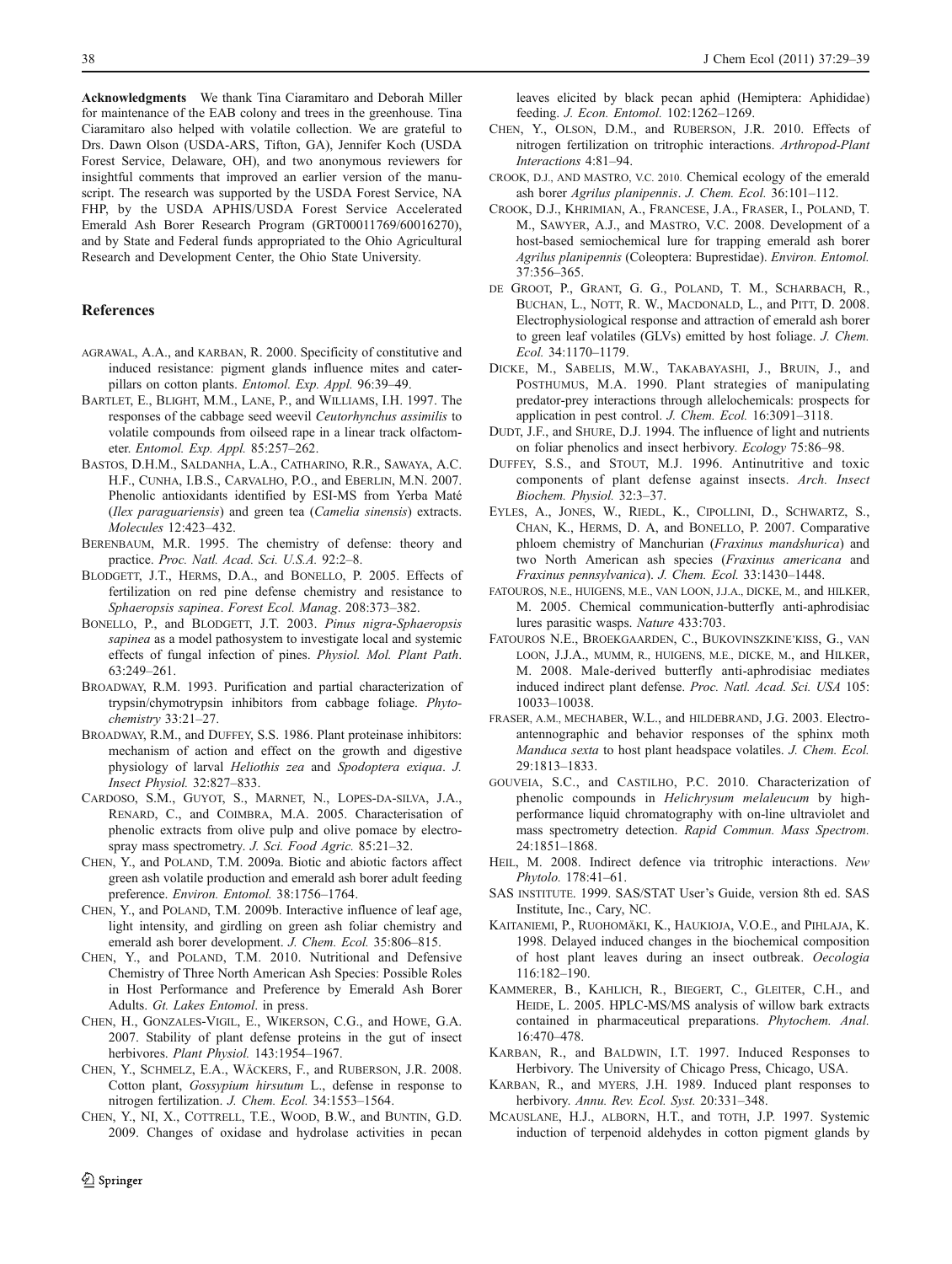<span id="page-9-0"></span>Acknowledgments We thank Tina Ciaramitaro and Deborah Miller for maintenance of the EAB colony and trees in the greenhouse. Tina Ciaramitaro also helped with volatile collection. We are grateful to Drs. Dawn Olson (USDA-ARS, Tifton, GA), Jennifer Koch (USDA Forest Service, Delaware, OH), and two anonymous reviewers for insightful comments that improved an earlier version of the manuscript. The research was supported by the USDA Forest Service, NA FHP, by the USDA APHIS/USDA Forest Service Accelerated Emerald Ash Borer Research Program (GRT00011769/60016270), and by State and Federal funds appropriated to the Ohio Agricultural Research and Development Center, the Ohio State University.

### References

- AGRAWAL, A.A., and KARBAN, R. 2000. Specificity of constitutive and induced resistance: pigment glands influence mites and caterpillars on cotton plants. Entomol. Exp. Appl. 96:39–49.
- BARTLET, E., BLIGHT, M.M., LANE, P., and WILLIAMS, I.H. 1997. The responses of the cabbage seed weevil Ceutorhynchus assimilis to volatile compounds from oilseed rape in a linear track olfactometer. Entomol. Exp. Appl. 85:257–262.
- BASTOS, D.H.M., SALDANHA, L.A., CATHARINO, R.R., SAWAYA, A.C. H.F., CUNHA, I.B.S., CARVALHO, P.O., and EBERLIN, M.N. 2007. Phenolic antioxidants identified by ESI-MS from Yerba Maté (Ilex paraguariensis) and green tea (Camelia sinensis) extracts. Molecules 12:423–432.
- BERENBAUM, M.R. 1995. The chemistry of defense: theory and practice. Proc. Natl. Acad. Sci. U.S.A. 92:2–8.
- BLODGETT, J.T., HERMS, D.A., and BONELLO, P. 2005. Effects of fertilization on red pine defense chemistry and resistance to Sphaeropsis sapinea. Forest Ecol. Manag. 208:373–382.
- BONELLO, P., and BLODGETT, J.T. 2003. Pinus nigra-Sphaeropsis sapinea as a model pathosystem to investigate local and systemic effects of fungal infection of pines. Physiol. Mol. Plant Path. 63:249–261.
- BROADWAY, R.M. 1993. Purification and partial characterization of trypsin/chymotrypsin inhibitors from cabbage foliage. Phytochemistry 33:21–27.
- BROADWAY, R.M., and DUFFEY, S.S. 1986. Plant proteinase inhibitors: mechanism of action and effect on the growth and digestive physiology of larval Heliothis zea and Spodoptera exiqua. J. Insect Physiol. 32:827–833.
- CARDOSO, S.M., GUYOT, S., MARNET, N., LOPES-DA-SILVA, J.A., RENARD, C., and COIMBRA, M.A. 2005. Characterisation of phenolic extracts from olive pulp and olive pomace by electrospray mass spectrometry. J. Sci. Food Agric. 85:21-32.
- CHEN, Y., and POLAND, T.M. 2009a. Biotic and abiotic factors affect green ash volatile production and emerald ash borer adult feeding preference. Environ. Entomol. 38:1756–1764.
- CHEN, Y., and POLAND, T.M. 2009b. Interactive influence of leaf age, light intensity, and girdling on green ash foliar chemistry and emerald ash borer development. J. Chem. Ecol. 35:806–815.
- CHEN, Y., and POLAND, T.M. 2010. Nutritional and Defensive Chemistry of Three North American Ash Species: Possible Roles in Host Performance and Preference by Emerald Ash Borer Adults. Gt. Lakes Entomol. in press.
- CHEN, H., GONZALES-VIGIL, E., WIKERSON, C.G., and HOWE, G.A. 2007. Stability of plant defense proteins in the gut of insect herbivores. Plant Physiol. 143:1954–1967.
- CHEN, Y., SCHMELZ, E.A., WÄCKERS, F., and RUBERSON, J.R. 2008. Cotton plant, Gossypium hirsutum L., defense in response to nitrogen fertilization. J. Chem. Ecol. 34:1553–1564.
- CHEN, Y., NI, X., COTTRELL, T.E., WOOD, B.W., and BUNTIN, G.D. 2009. Changes of oxidase and hydrolase activities in pecan

leaves elicited by black pecan aphid (Hemiptera: Aphididae) feeding. J. Econ. Entomol. 102:1262–1269.

- CHEN, Y., OLSON, D.M., and RUBERSON, J.R. 2010. Effects of nitrogen fertilization on tritrophic interactions. Arthropod-Plant Interactions 4:81–94.
- CROOK, D.J., AND MASTRO, V.C. 2010. Chemical ecology of the emerald ash borer Agrilus planipennis. J. Chem. Ecol. 36:101–112.
- CROOK, D.J., KHRIMIAN, A., FRANCESE, J.A., FRASER, I., POLAND, T. M., SAWYER, A.J., and MASTRO, V.C. 2008. Development of a host-based semiochemical lure for trapping emerald ash borer Agrilus planipennis (Coleoptera: Buprestidae). Environ. Entomol. 37:356–365.
- DE GROOT, P., GRANT, G. G., POLAND, T. M., SCHARBACH, R., BUCHAN, L., NOTT, R. W., MACDONALD, L., and PITT, D. 2008. Electrophysiological response and attraction of emerald ash borer to green leaf volatiles (GLVs) emitted by host foliage. J. Chem. Ecol. 34:1170–1179.
- DICKE, M., SABELIS, M.W., TAKABAYASHI, J., BRUIN, J., and POSTHUMUS, M.A. 1990. Plant strategies of manipulating predator-prey interactions through allelochemicals: prospects for application in pest control. J. Chem. Ecol. 16:3091–3118.
- DUDT, J.F., and SHURE, D.J. 1994. The influence of light and nutrients on foliar phenolics and insect herbivory. Ecology 75:86–98.
- DUFFEY, S.S., and STOUT, M.J. 1996. Antinutritive and toxic components of plant defense against insects. Arch. Insect Biochem. Physiol. 32:3–37.
- EYLES, A., JONES, W., RIEDL, K., CIPOLLINI, D., SCHWARTZ, S., CHAN, K., HERMS, D. A, and BONELLO, P. 2007. Comparative phloem chemistry of Manchurian (Fraxinus mandshurica) and two North American ash species (Fraxinus americana and Fraxinus pennsylvanica). J. Chem. Ecol. 33:1430–1448.
- FATOUROS, N.E., HUIGENS, M.E., VAN LOON, J.J.A., DICKE, M., and HILKER, M. 2005. Chemical communication-butterfly anti-aphrodisiac lures parasitic wasps. Nature 433:703.
- FATOUROS N.E., BROEKGAARDEN, C., BUKOVINSZKINE'KISS, G., VAN LOON, J.J.A., MUMM, R., HUIGENS, M.E., DICKE, M., and HILKER, M. 2008. Male-derived butterfly anti-aphrodisiac mediates induced indirect plant defense. Proc. Natl. Acad. Sci. USA 105: 10033–10038.
- FRASER, A.M., MECHABER, W.L., and HILDEBRAND, J.G. 2003. Electroantennographic and behavior responses of the sphinx moth Manduca sexta to host plant headspace volatiles. J. Chem. Ecol. 29:1813–1833.
- GOUVEIA, S.C., and CASTILHO, P.C. 2010. Characterization of phenolic compounds in Helichrysum melaleucum by highperformance liquid chromatography with on-line ultraviolet and mass spectrometry detection. Rapid Commun. Mass Spectrom. 24:1851–1868.
- HEIL, M. 2008. Indirect defence via tritrophic interactions. New Phytolo. 178:41–61.
- SAS INSTITUTE. 1999. SAS/STAT User's Guide, version 8th ed. SAS Institute, Inc., Cary, NC.
- KAITANIEMI, P., RUOHOMÄKI, K., HAUKIOJA, V.O.E., and PIHLAJA, K. 1998. Delayed induced changes in the biochemical composition of host plant leaves during an insect outbreak. Oecologia 116:182–190.
- KAMMERER, B., KAHLICH, R., BIEGERT, C., GLEITER, C.H., and HEIDE, L. 2005. HPLC-MS/MS analysis of willow bark extracts contained in pharmaceutical preparations. Phytochem. Anal. 16:470–478.
- KARBAN, R., and BALDWIN, I.T. 1997. Induced Responses to Herbivory. The University of Chicago Press, Chicago, USA.
- KARBAN, R., and MYERS, J.H. 1989. Induced plant responses to herbivory. Annu. Rev. Ecol. Syst. 20:331-348.
- MCAUSLANE, H.J., ALBORN, H.T., and TOTH, J.P. 1997. Systemic induction of terpenoid aldehydes in cotton pigment glands by